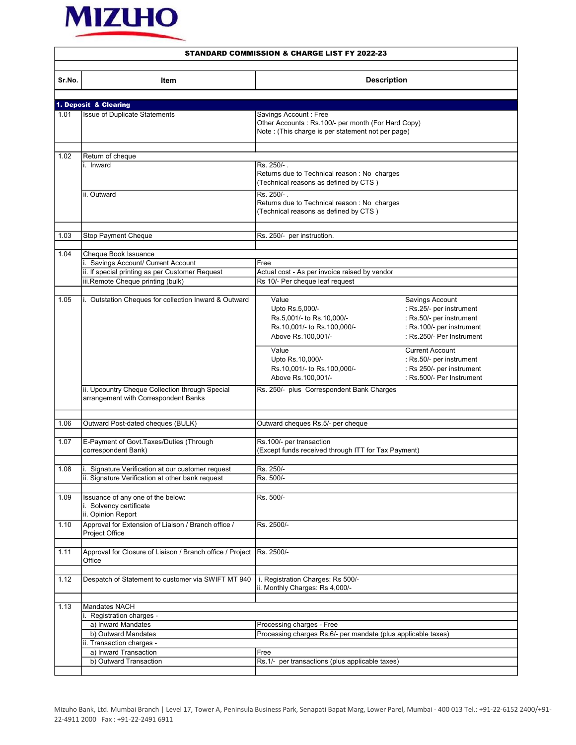

|        | <b>STANDARD COMMISSION &amp; CHARGE LIST FY 2022-23</b>                                 |                                                                                                                                    |                                                                                                                                                             |
|--------|-----------------------------------------------------------------------------------------|------------------------------------------------------------------------------------------------------------------------------------|-------------------------------------------------------------------------------------------------------------------------------------------------------------|
| Sr.No. | Item                                                                                    | <b>Description</b>                                                                                                                 |                                                                                                                                                             |
|        |                                                                                         |                                                                                                                                    |                                                                                                                                                             |
|        | 1. Deposit & Clearing                                                                   |                                                                                                                                    |                                                                                                                                                             |
| 1.01   | <b>Issue of Duplicate Statements</b>                                                    | Savings Account: Free<br>Other Accounts : Rs.100/- per month (For Hard Copy)<br>Note : (This charge is per statement not per page) |                                                                                                                                                             |
| 1.02   | Return of cheque                                                                        |                                                                                                                                    |                                                                                                                                                             |
|        | i. Inward                                                                               | Rs. 250/-.                                                                                                                         |                                                                                                                                                             |
|        |                                                                                         | Returns due to Technical reason : No charges<br>(Technical reasons as defined by CTS)                                              |                                                                                                                                                             |
|        | ii. Outward                                                                             | Rs. 250/-.<br>Returns due to Technical reason : No charges<br>(Technical reasons as defined by CTS)                                |                                                                                                                                                             |
| 1.03   | Stop Payment Cheque                                                                     | Rs. 250/- per instruction.                                                                                                         |                                                                                                                                                             |
|        |                                                                                         |                                                                                                                                    |                                                                                                                                                             |
| 1.04   | Cheque Book Issuance                                                                    |                                                                                                                                    |                                                                                                                                                             |
|        | i. Savings Account/ Current Account                                                     | Free                                                                                                                               |                                                                                                                                                             |
|        | ii. If special printing as per Customer Request                                         | Actual cost - As per invoice raised by vendor                                                                                      |                                                                                                                                                             |
|        | iii.Remote Cheque printing (bulk)                                                       | Rs 10/- Per cheque leaf request                                                                                                    |                                                                                                                                                             |
|        |                                                                                         |                                                                                                                                    |                                                                                                                                                             |
| 1.05   | i. Outstation Cheques for collection Inward & Outward                                   | Value<br>Upto Rs.5,000/-<br>Rs.5,001/- to Rs.10,000/-<br>Rs.10,001/- to Rs.100,000/-<br>Above Rs.100,001/-<br>Value                | Savings Account<br>: Rs.25/- per instrument<br>: Rs.50/- per instrument<br>: Rs.100/- per instrument<br>: Rs.250/- Per Instrument<br><b>Current Account</b> |
|        |                                                                                         | Upto Rs.10,000/-<br>Rs.10,001/- to Rs.100,000/-<br>Above Rs.100,001/-                                                              | : Rs.50/- per instrument<br>: Rs 250/- per instrument<br>: Rs.500/- Per Instrument                                                                          |
|        | ii. Upcountry Cheque Collection through Special<br>arrangement with Correspondent Banks | Rs. 250/- plus Correspondent Bank Charges                                                                                          |                                                                                                                                                             |
| 1.06   | Outward Post-dated cheques (BULK)                                                       | Outward cheques Rs.5/- per cheque                                                                                                  |                                                                                                                                                             |
|        |                                                                                         |                                                                                                                                    |                                                                                                                                                             |
| 1.07   | E-Payment of Govt.Taxes/Duties (Through<br>correspondent Bank)                          | Rs.100/- per transaction<br>(Except funds received through ITT for Tax Payment)                                                    |                                                                                                                                                             |
| 1.08   | i. Signature Verification at our customer request                                       | Rs. 250/-                                                                                                                          |                                                                                                                                                             |
|        | ii. Signature Verification at other bank request                                        | Rs. 500/-                                                                                                                          |                                                                                                                                                             |
|        |                                                                                         |                                                                                                                                    |                                                                                                                                                             |
| 1.09   | Issuance of any one of the below:<br>i. Solvency certificate<br>ii. Opinion Report      | Rs. 500/-                                                                                                                          |                                                                                                                                                             |
| 1.10   | Approval for Extension of Liaison / Branch office /<br>Project Office                   | Rs. 2500/-                                                                                                                         |                                                                                                                                                             |
| 1.11   | Approval for Closure of Liaison / Branch office / Project<br>Office                     | Rs. 2500/-                                                                                                                         |                                                                                                                                                             |
| 1.12   | Despatch of Statement to customer via SWIFT MT 940                                      | i. Registration Charges: Rs 500/-<br>ii. Monthly Charges: Rs 4,000/-                                                               |                                                                                                                                                             |
|        |                                                                                         |                                                                                                                                    |                                                                                                                                                             |
| 1.13   | <b>Mandates NACH</b>                                                                    |                                                                                                                                    |                                                                                                                                                             |
|        | Registration charges -                                                                  |                                                                                                                                    |                                                                                                                                                             |
|        | a) Inward Mandates                                                                      | Processing charges - Free                                                                                                          |                                                                                                                                                             |
|        | b) Outward Mandates                                                                     | Processing charges Rs.6/- per mandate (plus applicable taxes)                                                                      |                                                                                                                                                             |
|        | ii. Transaction charges -                                                               |                                                                                                                                    |                                                                                                                                                             |
|        | a) Inward Transaction<br>b) Outward Transaction                                         | Free<br>Rs.1/- per transactions (plus applicable taxes)                                                                            |                                                                                                                                                             |
|        |                                                                                         |                                                                                                                                    |                                                                                                                                                             |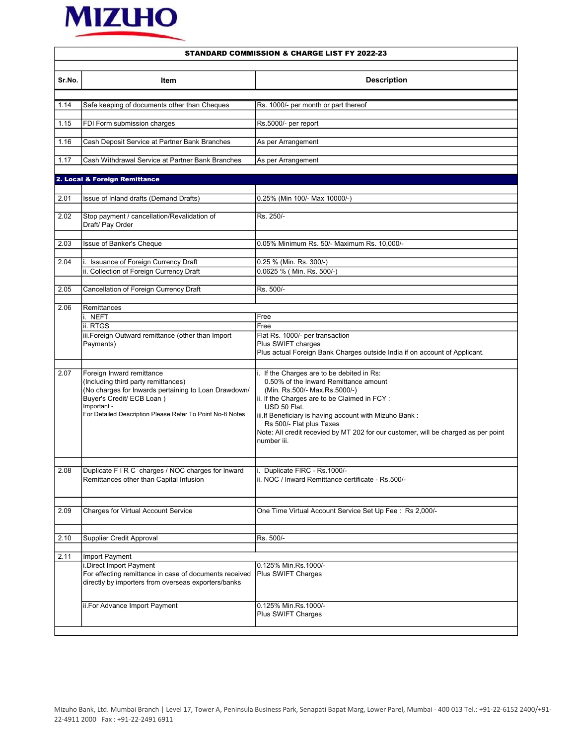

|        | SIANDARD COMMISSION & CHARGE LISI FT 2022-23                                                                  |                                                                                                  |  |
|--------|---------------------------------------------------------------------------------------------------------------|--------------------------------------------------------------------------------------------------|--|
| Sr.No. | Item                                                                                                          | <b>Description</b>                                                                               |  |
| 1.14   | Safe keeping of documents other than Cheques                                                                  | Rs. 1000/- per month or part thereof                                                             |  |
|        |                                                                                                               |                                                                                                  |  |
| 1.15   | FDI Form submission charges                                                                                   | Rs.5000/- per report                                                                             |  |
| 1.16   | Cash Deposit Service at Partner Bank Branches                                                                 | As per Arrangement                                                                               |  |
| 1.17   | Cash Withdrawal Service at Partner Bank Branches                                                              | As per Arrangement                                                                               |  |
|        | 2. Local & Foreign Remittance                                                                                 |                                                                                                  |  |
|        |                                                                                                               |                                                                                                  |  |
| 2.01   | Issue of Inland drafts (Demand Drafts)                                                                        | 0.25% (Min 100/- Max 10000/-)                                                                    |  |
| 2.02   | Stop payment / cancellation/Revalidation of<br>Draft/ Pay Order                                               | Rs. 250/-                                                                                        |  |
| 2.03   | Issue of Banker's Cheque                                                                                      | 0.05% Minimum Rs. 50/- Maximum Rs. 10,000/-                                                      |  |
|        |                                                                                                               |                                                                                                  |  |
| 2.04   | i. Issuance of Foreign Currency Draft<br>ii. Collection of Foreign Currency Draft                             | 0.25 % (Min. Rs. 300/-)<br>0.0625 % (Min. Rs. 500/-)                                             |  |
|        |                                                                                                               |                                                                                                  |  |
| 2.05   | Cancellation of Foreign Currency Draft                                                                        | Rs. 500/-                                                                                        |  |
| 2.06   | Remittances                                                                                                   |                                                                                                  |  |
|        | i. NEFT                                                                                                       | Free                                                                                             |  |
|        | ii. RTGS                                                                                                      | Free                                                                                             |  |
|        | iii. Foreign Outward remittance (other than Import                                                            | Flat Rs. 1000/- per transaction                                                                  |  |
|        | Payments)                                                                                                     | Plus SWIFT charges<br>Plus actual Foreign Bank Charges outside India if on account of Applicant. |  |
|        |                                                                                                               |                                                                                                  |  |
| 2.07   | Foreign Inward remittance                                                                                     | i. If the Charges are to be debited in Rs:                                                       |  |
|        | (Including third party remittances)                                                                           | 0.50% of the Inward Remittance amount                                                            |  |
|        | (No charges for Inwards pertaining to Loan Drawdown/                                                          | (Min. Rs.500/- Max.Rs.5000/-)                                                                    |  |
|        | Buyer's Credit/ ECB Loan)                                                                                     | ii. If the Charges are to be Claimed in FCY :                                                    |  |
|        | Important -<br>For Detailed Description Please Refer To Point No-8 Notes                                      | USD 50 Flat.                                                                                     |  |
|        |                                                                                                               | iii. If Beneficiary is having account with Mizuho Bank:<br>Rs 500/- Flat plus Taxes              |  |
|        |                                                                                                               | Note: All credit recevied by MT 202 for our customer, will be charged as per point               |  |
|        |                                                                                                               | number iii.                                                                                      |  |
|        |                                                                                                               |                                                                                                  |  |
| 2.08   | Duplicate F I R C charges / NOC charges for Inward                                                            | i. Duplicate FIRC - Rs.1000/-                                                                    |  |
|        | Remittances other than Capital Infusion                                                                       | ii. NOC / Inward Remittance certificate - Rs.500/-                                               |  |
|        |                                                                                                               |                                                                                                  |  |
| 2.09   | <b>Charges for Virtual Account Service</b>                                                                    | One Time Virtual Account Service Set Up Fee: Rs 2,000/-                                          |  |
| 2.10   | Supplier Credit Approval                                                                                      | Rs. 500/-                                                                                        |  |
|        |                                                                                                               |                                                                                                  |  |
| 2.11   | Import Payment                                                                                                |                                                                                                  |  |
|        | i.Direct Import Payment                                                                                       | 0.125% Min.Rs.1000/-                                                                             |  |
|        | For effecting remittance in case of documents received<br>directly by importers from overseas exporters/banks | Plus SWIFT Charges                                                                               |  |
|        | ii.For Advance Import Payment                                                                                 | 0.125% Min.Rs.1000/-                                                                             |  |
|        |                                                                                                               | Plus SWIFT Charges                                                                               |  |
|        |                                                                                                               |                                                                                                  |  |

## STANDARD COMMISSION & CHARGE LIST FY 2022-23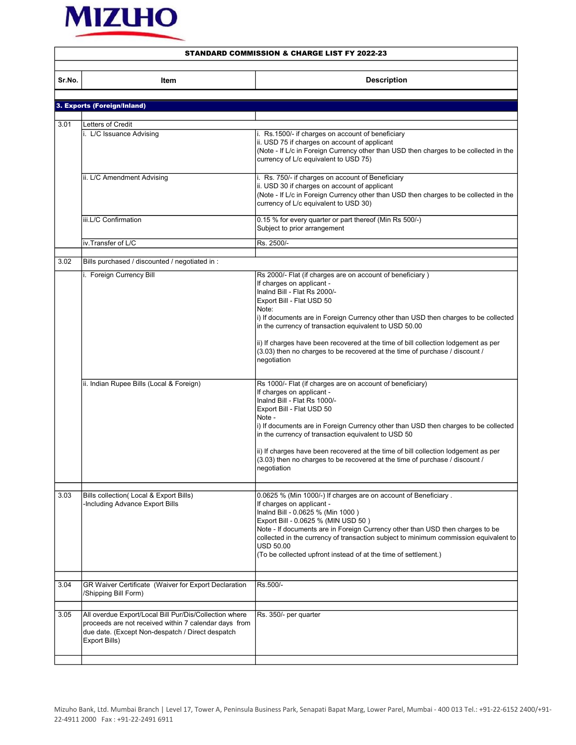

|        | <b>STANDARD COMMISSION &amp; CHARGE LIST FY 2022-23</b>                                                                                                                              |                                                                                                                                                                                                                                                                                                                                                                                                                                                                                                   |  |
|--------|--------------------------------------------------------------------------------------------------------------------------------------------------------------------------------------|---------------------------------------------------------------------------------------------------------------------------------------------------------------------------------------------------------------------------------------------------------------------------------------------------------------------------------------------------------------------------------------------------------------------------------------------------------------------------------------------------|--|
| Sr.No. | Item                                                                                                                                                                                 | <b>Description</b>                                                                                                                                                                                                                                                                                                                                                                                                                                                                                |  |
|        |                                                                                                                                                                                      |                                                                                                                                                                                                                                                                                                                                                                                                                                                                                                   |  |
|        | 3. Exports (Foreign/Inland)                                                                                                                                                          |                                                                                                                                                                                                                                                                                                                                                                                                                                                                                                   |  |
| 3.01   | Letters of Credit                                                                                                                                                                    |                                                                                                                                                                                                                                                                                                                                                                                                                                                                                                   |  |
|        | i. L/C Issuance Advising                                                                                                                                                             | i. Rs.1500/- if charges on account of beneficiary<br>ii. USD 75 if charges on account of applicant<br>(Note - If L/c in Foreign Currency other than USD then charges to be collected in the<br>currency of L/c equivalent to USD 75)                                                                                                                                                                                                                                                              |  |
|        | ii. L/C Amendment Advising                                                                                                                                                           | i. Rs. 750/- if charges on account of Beneficiary<br>ii. USD 30 if charges on account of applicant<br>(Note - If L/c in Foreign Currency other than USD then charges to be collected in the<br>currency of L/c equivalent to USD 30)                                                                                                                                                                                                                                                              |  |
|        | iii.L/C Confirmation                                                                                                                                                                 | 0.15 % for every quarter or part thereof (Min Rs 500/-)<br>Subject to prior arrangement                                                                                                                                                                                                                                                                                                                                                                                                           |  |
|        | iv.Transfer of L/C                                                                                                                                                                   | Rs. 2500/-                                                                                                                                                                                                                                                                                                                                                                                                                                                                                        |  |
|        |                                                                                                                                                                                      |                                                                                                                                                                                                                                                                                                                                                                                                                                                                                                   |  |
| 3.02   | Bills purchased / discounted / negotiated in :                                                                                                                                       |                                                                                                                                                                                                                                                                                                                                                                                                                                                                                                   |  |
|        | i. Foreign Currency Bill                                                                                                                                                             | Rs 2000/- Flat (if charges are on account of beneficiary)<br>If charges on applicant -<br>Inalnd Bill - Flat Rs 2000/-<br>Export Bill - Flat USD 50<br>Note:<br>i) If documents are in Foreign Currency other than USD then charges to be collected<br>in the currency of transaction equivalent to USD 50.00<br>ii) If charges have been recovered at the time of bill collection lodgement as per<br>(3.03) then no charges to be recovered at the time of purchase / discount /<br>negotiation |  |
|        | ii. Indian Rupee Bills (Local & Foreign)                                                                                                                                             | Rs 1000/- Flat (if charges are on account of beneficiary)<br>If charges on applicant -<br>Inalnd Bill - Flat Rs 1000/-<br>Export Bill - Flat USD 50<br>Note -<br>i) If documents are in Foreign Currency other than USD then charges to be collected<br>in the currency of transaction equivalent to USD 50<br>ii) If charges have been recovered at the time of bill collection lodgement as per<br>(3.03) then no charges to be recovered at the time of purchase / discount /<br>negotiation   |  |
| 3.03   | Bills collection(Local & Export Bills)<br>-Including Advance Export Bills                                                                                                            | 0.0625 % (Min 1000/-) If charges are on account of Beneficiary.<br>If charges on applicant -<br>Inalnd Bill - 0.0625 % (Min 1000)<br>Export Bill - 0.0625 % (MIN USD 50)<br>Note - If documents are in Foreign Currency other than USD then charges to be<br>collected in the currency of transaction subject to minimum commission equivalent to<br>USD 50.00<br>(To be collected upfront instead of at the time of settlement.)                                                                 |  |
| 3.04   | GR Waiver Certificate (Waiver for Export Declaration<br>/Shipping Bill Form)                                                                                                         | Rs.500/-                                                                                                                                                                                                                                                                                                                                                                                                                                                                                          |  |
| 3.05   | All overdue Export/Local Bill Pur/Dis/Collection where<br>proceeds are not received within 7 calendar days from<br>due date. (Except Non-despatch / Direct despatch<br>Export Bills) | Rs. 350/- per quarter                                                                                                                                                                                                                                                                                                                                                                                                                                                                             |  |
|        |                                                                                                                                                                                      |                                                                                                                                                                                                                                                                                                                                                                                                                                                                                                   |  |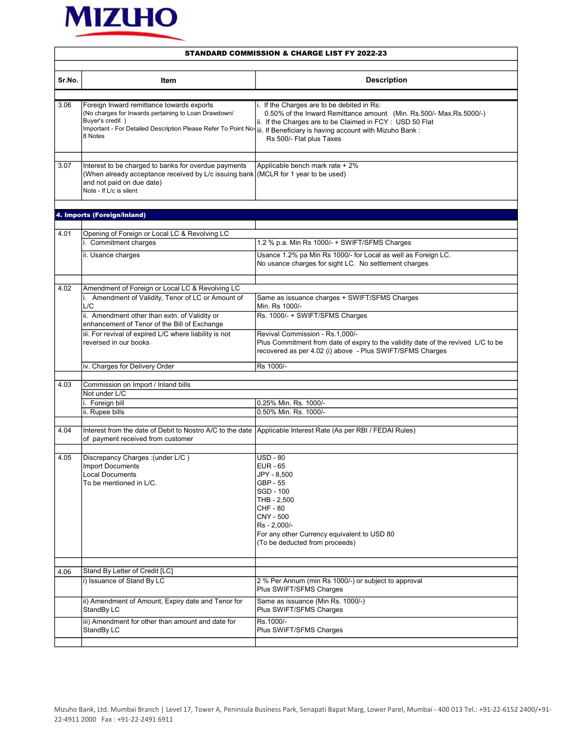

|        | <b>STANDARD COMMISSION &amp; CHARGE LIST FY 2022-23</b>                                                                                                                                                                                                   |                                                                                                                                                                                                                            |  |
|--------|-----------------------------------------------------------------------------------------------------------------------------------------------------------------------------------------------------------------------------------------------------------|----------------------------------------------------------------------------------------------------------------------------------------------------------------------------------------------------------------------------|--|
| Sr.No. | Item                                                                                                                                                                                                                                                      | <b>Description</b>                                                                                                                                                                                                         |  |
|        |                                                                                                                                                                                                                                                           |                                                                                                                                                                                                                            |  |
| 3.06   | Foreign Inward remittance towards exports<br>(No charges for Inwards pertaining to Loan Drawdown/<br>Buyer's credit )<br>Important - For Detailed Description Please Refer To Point No-iii. If Beneficiary is having account with Mizuho Bank:<br>8 Notes | i. If the Charges are to be debited in Rs:<br>0.50% of the Inward Remittance amount (Min. Rs.500/- Max.Rs.5000/-)<br>ii. If the Charges are to be Claimed in FCY : USD 50 Flat<br>Rs 500/- Flat plus Taxes                 |  |
| 3.07   | Interest to be charged to banks for overdue payments<br>(When already acceptance received by L/c issuing bank) (MCLR for 1 year to be used)<br>and not paid on due date)<br>Note - If L/c is silent                                                       | Applicable bench mark rate + 2%                                                                                                                                                                                            |  |
|        | 4. Imports (Foreign/Inland)                                                                                                                                                                                                                               |                                                                                                                                                                                                                            |  |
| 4.01   | Opening of Foreign or Local LC & Revolving LC<br>i. Commitment charges<br>ii. Usance charges                                                                                                                                                              | 1.2 % p.a. Min Rs 1000/- + SWIFT/SFMS Charges<br>Usance 1.2% pa Min Rs 1000/- for Local as well as Foreign LC.<br>No usance charges for sight LC. No settlement charges                                                    |  |
| 4.02   | Amendment of Foreign or Local LC & Revolving LC<br>i. Amendment of Validity, Tenor of LC or Amount of<br>L/C<br>ii. Amendment other than extn. of Validity or                                                                                             | Same as issuance charges + SWIFT/SFMS Charges<br>Min. Rs 1000/-<br>Rs. 1000/- + SWIFT/SFMS Charges                                                                                                                         |  |
|        | enhancement of Tenor of the Bill of Exchange<br>iii. For revival of expired L/C where liability is not<br>reversed in our books                                                                                                                           | Revival Commission - Rs.1,000/-<br>Plus Commitment from date of expiry to the validity date of the revived L/C to be<br>recovered as per 4.02 (i) above - Plus SWIFT/SFMS Charges                                          |  |
|        | iv. Charges for Delivery Order                                                                                                                                                                                                                            | Rs 1000/-                                                                                                                                                                                                                  |  |
| 4.03   | Commission on Import / Inland bills<br>Not under L/C<br>i. Foreign bill<br>ii. Rupee bills                                                                                                                                                                | 0.25% Min. Rs. 1000/-<br>0.50% Min. Rs. 1000/-                                                                                                                                                                             |  |
| 4.04   | Interest from the date of Debit to Nostro A/C to the date Applicable Interest Rate (As per RBI / FEDAI Rules)<br>of payment received from customer                                                                                                        |                                                                                                                                                                                                                            |  |
| 4.05   | Discrepancy Charges : (under L/C)<br>Import Documents<br><b>Local Documents</b><br>To be mentioned in L/C.                                                                                                                                                | USD - 80<br><b>EUR - 65</b><br>JPY - 8,500<br>GBP - 55<br>SGD - 100<br>THB - 2,500<br><b>CHF - 80</b><br><b>CNY - 500</b><br>Rs - 2,000/-<br>For any other Currency equivalent to USD 80<br>(To be deducted from proceeds) |  |
| 4.06   | Stand By Letter of Credit [LC]                                                                                                                                                                                                                            |                                                                                                                                                                                                                            |  |
|        | i) Issuance of Stand By LC                                                                                                                                                                                                                                | 2 % Per Annum (min Rs 1000/-) or subject to approval<br>Plus SWIFT/SFMS Charges                                                                                                                                            |  |
|        | ii) Amendment of Amount, Expiry date and Tenor for<br>StandBy LC                                                                                                                                                                                          | Same as issuance (Min Rs. 1000/-)<br>Plus SWIFT/SFMS Charges                                                                                                                                                               |  |
|        | iii) Amendment for other than amount and date for<br>StandBy LC                                                                                                                                                                                           | Rs.1000/-<br>Plus SWIFT/SFMS Charges                                                                                                                                                                                       |  |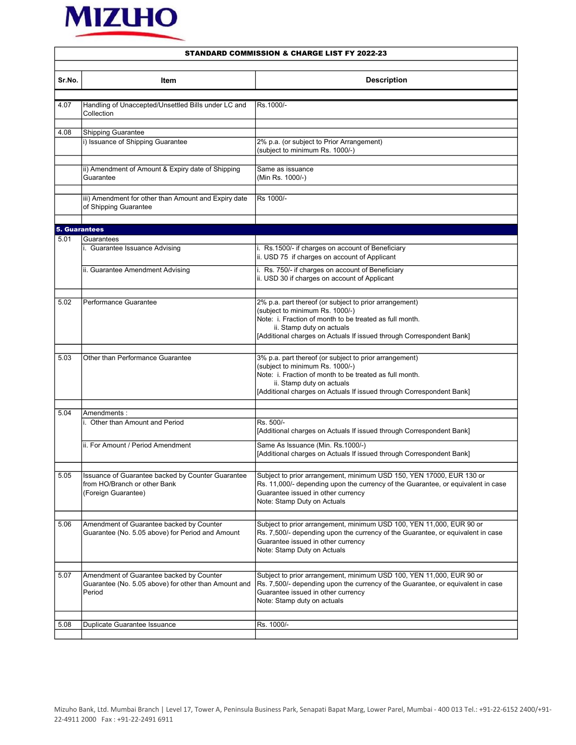

| Sr.No. | Item                                                              | <b>Description</b>                                                                                 |  |
|--------|-------------------------------------------------------------------|----------------------------------------------------------------------------------------------------|--|
|        |                                                                   |                                                                                                    |  |
| 4.07   | Handling of Unaccepted/Unsettled Bills under LC and<br>Collection | Rs.1000/-                                                                                          |  |
|        |                                                                   |                                                                                                    |  |
| 4.08   | <b>Shipping Guarantee</b><br>i) Issuance of Shipping Guarantee    |                                                                                                    |  |
|        |                                                                   | 2% p.a. (or subject to Prior Arrangement)<br>(subject to minimum Rs. 1000/-)                       |  |
|        | ii) Amendment of Amount & Expiry date of Shipping                 | Same as issuance                                                                                   |  |
|        | Guarantee                                                         | (Min Rs. 1000/-)                                                                                   |  |
|        | iii) Amendment for other than Amount and Expiry date              | Rs 1000/-                                                                                          |  |
|        | of Shipping Guarantee                                             |                                                                                                    |  |
|        |                                                                   |                                                                                                    |  |
|        | <b>5. Guarantees</b>                                              |                                                                                                    |  |
| 5.01   | Guarantees                                                        |                                                                                                    |  |
|        | i. Guarantee Issuance Advising                                    | i. Rs.1500/- if charges on account of Beneficiary<br>ii. USD 75 if charges on account of Applicant |  |
|        | ii. Guarantee Amendment Advising                                  | i. Rs. 750/- if charges on account of Beneficiary<br>ii. USD 30 if charges on account of Applicant |  |
|        |                                                                   |                                                                                                    |  |
| 5.02   | Performance Guarantee                                             | 2% p.a. part thereof (or subject to prior arrangement)                                             |  |
|        |                                                                   | (subject to minimum Rs. 1000/-)                                                                    |  |
|        |                                                                   | Note: i. Fraction of month to be treated as full month.<br>ii. Stamp duty on actuals               |  |
|        |                                                                   | [Additional charges on Actuals If issued through Correspondent Bank]                               |  |
|        |                                                                   |                                                                                                    |  |
| 5.03   | Other than Performance Guarantee                                  |                                                                                                    |  |
|        |                                                                   | 3% p.a. part thereof (or subject to prior arrangement)<br>(subject to minimum Rs. 1000/-)          |  |
|        |                                                                   | Note: i. Fraction of month to be treated as full month.                                            |  |
|        |                                                                   | ii. Stamp duty on actuals                                                                          |  |
|        |                                                                   | [Additional charges on Actuals If issued through Correspondent Bank]                               |  |
|        |                                                                   |                                                                                                    |  |
| 5.04   | Amendments:                                                       |                                                                                                    |  |
|        | i. Other than Amount and Period                                   | Rs. 500/-                                                                                          |  |
|        |                                                                   | [Additional charges on Actuals If issued through Correspondent Bank]                               |  |
|        | ii. For Amount / Period Amendment                                 | Same As Issuance (Min. Rs.1000/-)                                                                  |  |
|        |                                                                   | [Additional charges on Actuals If issued through Correspondent Bank]                               |  |
|        |                                                                   |                                                                                                    |  |
| 5.05   | Issuance of Guarantee backed by Counter Guarantee                 | Subject to prior arrangement, minimum USD 150, YEN 17000, EUR 130 or                               |  |
|        | from HO/Branch or other Bank                                      | Rs. 11,000/- depending upon the currency of the Guarantee, or equivalent in case                   |  |
|        | (Foreign Guarantee)                                               | Guarantee issued in other currency                                                                 |  |
|        |                                                                   | Note: Stamp Duty on Actuals                                                                        |  |
|        |                                                                   |                                                                                                    |  |
| 5.06   | Amendment of Guarantee backed by Counter                          | Subject to prior arrangement, minimum USD 100, YEN 11,000, EUR 90 or                               |  |
|        | Guarantee (No. 5.05 above) for Period and Amount                  | Rs. 7,500/- depending upon the currency of the Guarantee, or equivalent in case                    |  |
|        |                                                                   | Guarantee issued in other currency                                                                 |  |
|        |                                                                   | Note: Stamp Duty on Actuals                                                                        |  |
|        |                                                                   |                                                                                                    |  |
| 5.07   | Amendment of Guarantee backed by Counter                          | Subject to prior arrangement, minimum USD 100, YEN 11,000, EUR 90 or                               |  |
|        | Guarantee (No. 5.05 above) for other than Amount and              | Rs. 7,500/- depending upon the currency of the Guarantee, or equivalent in case                    |  |
|        | Period                                                            | Guarantee issued in other currency                                                                 |  |
|        |                                                                   | Note: Stamp duty on actuals                                                                        |  |
|        |                                                                   |                                                                                                    |  |
| 5.08   | Duplicate Guarantee Issuance                                      | Rs. 1000/-                                                                                         |  |
|        |                                                                   |                                                                                                    |  |

## STANDARD COMMISSION & CHARGE LIST FY 2022-23